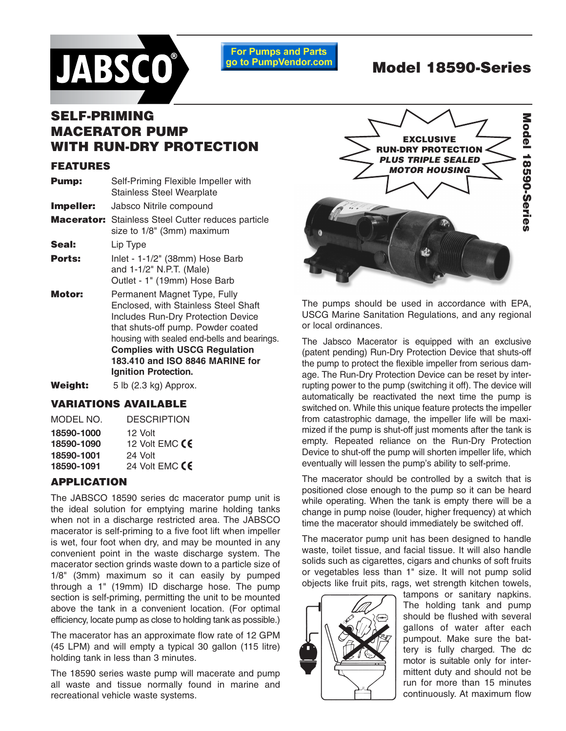

**For Pumps and Parts** go to PumpVendor.com

# **Model 18590-Series**

# **SELF-PRIMING MACERATOR PUMP WITH RUN-DRY PROTECTION**

# **FEATURES**

| <b>Pump:</b> | Self-Priming Flexible Impeller with<br><b>Stainless Steel Wearplate</b>                                                                                                                                                                                                                                   |
|--------------|-----------------------------------------------------------------------------------------------------------------------------------------------------------------------------------------------------------------------------------------------------------------------------------------------------------|
| Impeller:    | Jabsco Nitrile compound                                                                                                                                                                                                                                                                                   |
|              | <b>Macerator:</b> Stainless Steel Cutter reduces particle<br>size to 1/8" (3mm) maximum                                                                                                                                                                                                                   |
| Seal:        | Lip Type                                                                                                                                                                                                                                                                                                  |
| Ports:       | Inlet - 1-1/2" (38mm) Hose Barb<br>and 1-1/2" N.P.T. (Male)<br>Outlet - 1" (19mm) Hose Barb                                                                                                                                                                                                               |
| Motor:       | Permanent Magnet Type, Fully<br>Enclosed, with Stainless Steel Shaft<br><b>Includes Run-Dry Protection Device</b><br>that shuts-off pump. Powder coated<br>housing with sealed end-bells and bearings.<br><b>Complies with USCG Regulation</b><br>183.410 and ISO 8846 MARINE for<br>Ignition Protection. |

Weight: 5 lb (2.3 kg) Approx.

# **VARIATIONS AVAILABLE**

| MODEL NO.  | <b>DESCRIPTION</b> |
|------------|--------------------|
| 18590-1000 | 12 Volt            |
| 18590-1090 | 12 Volt EMC CE     |
| 18590-1001 | 24 Volt            |
| 18590-1091 | 24 Volt EMC $CE$   |
|            |                    |

# **APPLICATION**

The JABSCO 18590 series dc macerator pump unit is the ideal solution for emptying marine holding tanks when not in a discharge restricted area. The JABSCO macerator is self-priming to a five foot lift when impeller is wet, four foot when dry, and may be mounted in any convenient point in the waste discharge system. The macerator section grinds waste down to a particle size of 1/8" (3mm) maximum so it can easily by pumped through a 1" (19mm) ID discharge hose. The pump section is self-priming, permitting the unit to be mounted above the tank in a convenient location. (For optimal efficiency, locate pump as close to holding tank as possible.)

The macerator has an approximate flow rate of 12 GPM (45 LPM) and will empty a typical 30 gallon (115 litre) holding tank in less than 3 minutes.

The 18590 series waste pump will macerate and pump all waste and tissue normally found in marine and recreational vehicle waste systems.



The pumps should be used in accordance with EPA, USCG Marine Sanitation Regulations, and any regional or local ordinances.

The Jabsco Macerator is equipped with an exclusive (patent pending) Run-Dry Protection Device that shuts-off the pump to protect the flexible impeller from serious damage. The Run-Dry Protection Device can be reset by interrupting power to the pump (switching it off). The device will automatically be reactivated the next time the pump is switched on. While this unique feature protects the impeller from catastrophic damage, the impeller life will be maximized if the pump is shut-off just moments after the tank is empty. Repeated reliance on the Run-Dry Protection Device to shut-off the pump will shorten impeller life, which eventually will lessen the pump's ability to self-prime.

The macerator should be controlled by a switch that is positioned close enough to the pump so it can be heard while operating. When the tank is empty there will be a change in pump noise (louder, higher frequency) at which time the macerator should immediately be switched off.

The macerator pump unit has been designed to handle waste, toilet tissue, and facial tissue. It will also handle solids such as cigarettes, cigars and chunks of soft fruits or vegetables less than 1" size. It will not pump solid objects like fruit pits, rags, wet strength kitchen towels,



tampons or sanitary napkins. The holding tank and pump should be flushed with several gallons of water after each pumpout. Make sure the battery is fully charged. The dc motor is suitable only for intermittent duty and should not be run for more than 15 minutes continuously. At maximum flow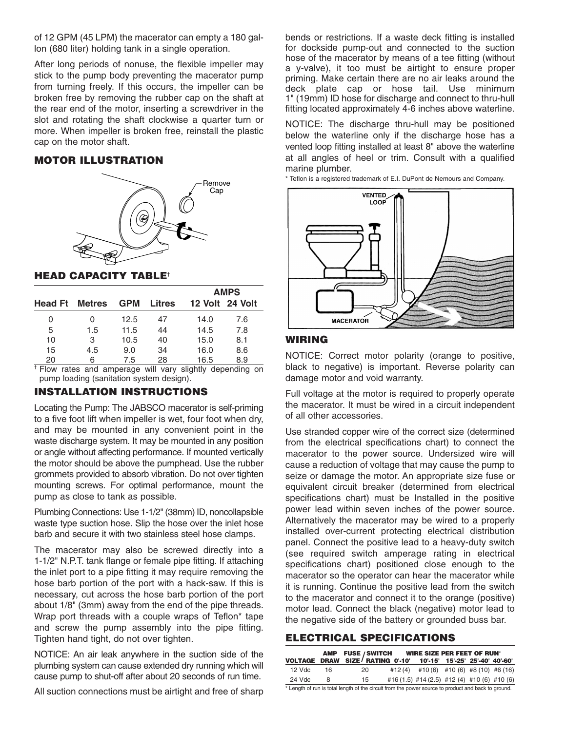of 12 GPM (45 LPM) the macerator can empty a 180 gallon (680 liter) holding tank in a single operation.

After long periods of nonuse, the flexible impeller may stick to the pump body preventing the macerator pump from turning freely. If this occurs, the impeller can be broken free by removing the rubber cap on the shaft at the rear end of the motor, inserting a screwdriver in the slot and rotating the shaft clockwise a quarter turn or more. When impeller is broken free, reinstall the plastic cap on the motor shaft.

#### **MOTOR ILLUSTRATION**



#### **HEAD CAPACITY TABLE**†

|                       |     |            |               | <b>AMPS</b> |                 |  |
|-----------------------|-----|------------|---------------|-------------|-----------------|--|
| <b>Head Ft</b> Metres |     | <b>GPM</b> | <b>Litres</b> |             | 12 Volt 24 Volt |  |
| 0                     | 0   | 12.5       | 47            | 14.0        | 7.6             |  |
| 5                     | 1.5 | 11.5       | 44            | 14.5        | 7.8             |  |
| 10                    | 3   | 10.5       | 40            | 15.0        | 8.1             |  |
| 15                    | 4.5 | 9.0        | 34            | 16.0        | 8.6             |  |
| 20                    | 6   | 7.5        | 28            | 16.5        | 8.9             |  |

 $\frac{1}{1}$  Flow rates and amperage will vary slightly depending on pump loading (sanitation system design).

# **INSTALLATION INSTRUCTIONS**

Locating the Pump: The JABSCO macerator is self-priming to a five foot lift when impeller is wet, four foot when dry, and may be mounted in any convenient point in the waste discharge system. It may be mounted in any position or angle without affecting performance. If mounted vertically the motor should be above the pumphead. Use the rubber grommets provided to absorb vibration. Do not over tighten mounting screws. For optimal performance, mount the pump as close to tank as possible.

Plumbing Connections: Use 1-1/2" (38mm) ID, noncollapsible waste type suction hose. Slip the hose over the inlet hose barb and secure it with two stainless steel hose clamps.

The macerator may also be screwed directly into a 1-1/2" N.P.T. tank flange or female pipe fitting. If attaching the inlet port to a pipe fitting it may require removing the hose barb portion of the port with a hack-saw. If this is necessary, cut across the hose barb portion of the port about 1/8" (3mm) away from the end of the pipe threads. Wrap port threads with a couple wraps of Teflon\* tape and screw the pump assembly into the pipe fitting. Tighten hand tight, do not over tighten.

NOTICE: An air leak anywhere in the suction side of the plumbing system can cause extended dry running which will cause pump to shut-off after about 20 seconds of run time.

All suction connections must be airtight and free of sharp

bends or restrictions. If a waste deck fitting is installed for dockside pump-out and connected to the suction hose of the macerator by means of a tee fitting (without a y-valve), it too must be airtight to ensure proper priming. Make certain there are no air leaks around the deck plate cap or hose tail. Use minimum 1" (19mm) ID hose for discharge and connect to thru-hull fitting located approximately 4-6 inches above waterline.

NOTICE: The discharge thru-hull may be positioned below the waterline only if the discharge hose has a vented loop fitting installed at least 8" above the waterline at all angles of heel or trim. Consult with a qualified marine plumber.

\* Teflon is a registered trademark of E.I. DuPont de Nemours and Company.



#### **WIRING**

NOTICE: Correct motor polarity (orange to positive, black to negative) is important. Reverse polarity can damage motor and void warranty.

Full voltage at the motor is required to properly operate the macerator. It must be wired in a circuit independent of all other accessories.

Use stranded copper wire of the correct size (determined from the electrical specifications chart) to connect the macerator to the power source. Undersized wire will cause a reduction of voltage that may cause the pump to seize or damage the motor. An appropriate size fuse or equivalent circuit breaker (determined from electrical specifications chart) must be Installed in the positive power lead within seven inches of the power source. Alternatively the macerator may be wired to a properly installed over-current protecting electrical distribution panel. Connect the positive lead to a heavy-duty switch (see required switch amperage rating in electrical specifications chart) positioned close enough to the macerator so the operator can hear the macerator while it is running. Continue the positive lead from the switch to the macerator and connect it to the orange (positive) motor lead. Connect the black (negative) motor lead to the negative side of the battery or grounded buss bar.

#### **ELECTRICAL SPECIFICATIONS**

|        |     | AMP FUSE / SWITCH                                                 | WIRE SIZE PER FEET OF RUN'                  |  |  |
|--------|-----|-------------------------------------------------------------------|---------------------------------------------|--|--|
|        |     | VOLTAGE DRAW SIZE / RATING 0'-10' 10'-15' 15'-25' 25'-40' 40'-60' |                                             |  |  |
| 12 Vdc | -16 | 20                                                                | #12(4) #10(6) #10(6) #8(10) #6(16)          |  |  |
| 24 Vdc | 8   | 15                                                                | #16 (1.5) #14 (2.5) #12 (4) #10 (6) #10 (6) |  |  |
|        |     | .                                                                 |                                             |  |  |

\* Length of run is total length of the circuit from the power source to product and back to ground.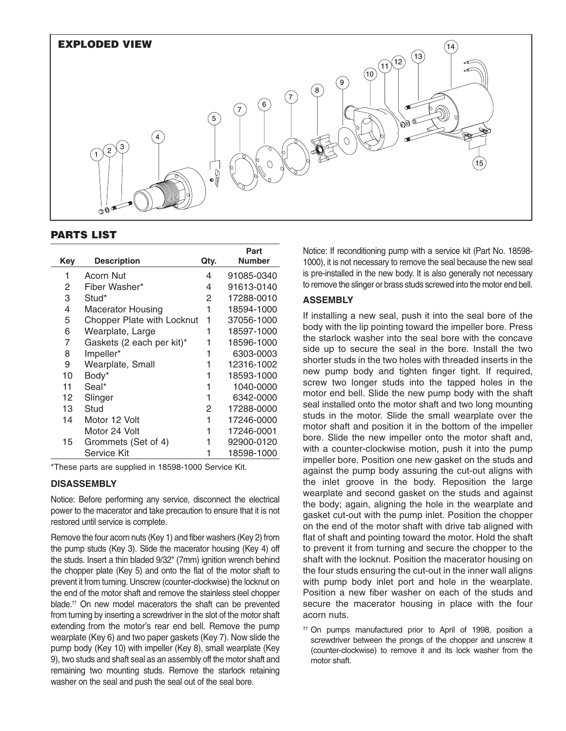

# **PARTS LIST**

|            |                            |      | Part          |
|------------|----------------------------|------|---------------|
| <b>Key</b> | <b>Description</b>         | Qty. | <b>Number</b> |
| 1          | Acorn Nut                  | 4    | 91085-0340    |
| 2          | Fiber Washer*              | 4    | 91613-0140    |
| 3          | Stud*                      | 2    | 17288-0010    |
| 4          | Macerator Housing          | 1    | 18594-1000    |
| 5          | Chopper Plate with Locknut | 1    | 37056-1000    |
| 6          | Wearplate, Large           | 1    | 18597-1000    |
| 7          | Gaskets (2 each per kit)*  | 1    | 18596-1000    |
| 8          | Impeller*                  | 1    | 6303-0003     |
| 9          | Wearplate, Small           | 1    | 12316-1002    |
| 10         | Body*                      | 1    | 18593-1000    |
| 11         | Seal*                      | 1    | 1040-0000     |
| 12         | Slinger                    | 1    | 6342-0000     |
| 13         | Stud                       | 2    | 17288-0000    |
| 14         | Motor 12 Volt              | 1    | 17246-0000    |
|            | Motor 24 Volt              | 1    | 17246-0001    |
| 15         | Grommets (Set of 4)        | 1    | 92900-0120    |
|            | Service Kit                |      | 18598-1000    |

\*These parts are supplied in 18598-1000 Service Kit.

# **DISASSEMBLY**

Notice: Before performing any service, disconnect the electrical power to the macerator and take precaution to ensure that it is not restored until service is complete.

Remove the four acorn nuts (Key 1) and fiber washers (Key 2) from the pump studs (Key 3). Slide the macerator housing (Key 4) off the studs. Insert a thin bladed 9/32" (7mm) ignition wrench behind the chopper plate (Key 5) and onto the flat of the motor shaft to prevent it from turning. Unscrew (counter-clockwise) the locknut on the end of the motor shaft and remove the stainless steel chopper blade.†† On new model macerators the shaft can be prevented from turning by inserting a screwdriver in the slot of the motor shaft extending from the motor's rear end bell. Remove the pump wearplate (Key 6) and two paper gaskets (Key 7). Now slide the pump body (Key 10) with impeller (Key 8), small wearplate (Key 9), two studs and shaft seal as an assembly off the motor shaft and remaining two mounting studs. Remove the starlock retaining washer on the seal and push the seal out of the seal bore.

Notice: If reconditioning pump with a service kit (Part No. 18598- 1000), it is not necessary to remove the seal because the new seal is pre-installed in the new body. It is also generally not necessary to remove the slinger or brass studs screwed into the motor end bell.

# **ASSEMBLY**

If installing a new seal, push it into the seal bore of the body with the lip pointing toward the impeller bore. Press the starlock washer into the seal bore with the concave side up to secure the seal in the bore. Install the two shorter studs in the two holes with threaded inserts in the new pump body and tighten finger tight. If required, screw two longer studs into the tapped holes in the motor end bell. Slide the new pump body with the shaft seal installed onto the motor shaft and two long mounting studs in the motor. Slide the small wearplate over the motor shaft and position it in the bottom of the impeller bore. Slide the new impeller onto the motor shaft and, with a counter-clockwise motion, push it into the pump impeller bore. Position one new gasket on the studs and against the pump body assuring the cut-out aligns with the inlet groove in the body. Reposition the large wearplate and second gasket on the studs and against the body; again, aligning the hole in the wearplate and gasket cut-out with the pump inlet. Position the chopper on the end of the motor shaft with drive tab aligned with flat of shaft and pointing toward the motor. Hold the shaft to prevent it from turning and secure the chopper to the shaft with the locknut. Position the macerator housing on the four studs ensuring the cut-out in the inner wall aligns with pump body inlet port and hole in the wearplate. Position a new fiber washer on each of the studs and secure the macerator housing in place with the four acorn nuts.

†† On pumps manufactured prior to April of 1998, position a screwdriver between the prongs of the chopper and unscrew it (counter-clockwise) to remove it and its lock washer from the motor shaft.